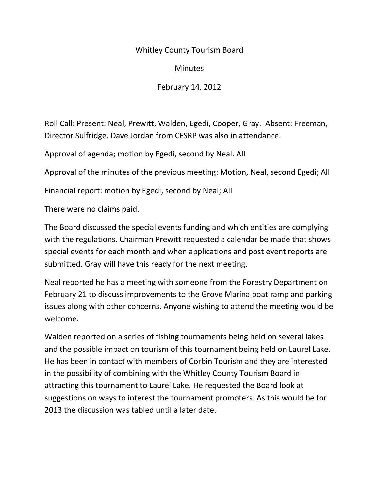## Whitley County Tourism Board

**Minutes** 

February 14, 2012

Roll Call: Present: Neal, Prewitt, Walden, Egedi, Cooper, Gray. Absent: Freeman, Director Sulfridge. Dave Jordan from CFSRP was also in attendance.

Approval of agenda; motion by Egedi, second by Neal. All

Approval of the minutes of the previous meeting: Motion, Neal, second Egedi; All

Financial report: motion by Egedi, second by Neal; All

There were no claims paid.

The Board discussed the special events funding and which entities are complying with the regulations. Chairman Prewitt requested a calendar be made that shows special events for each month and when applications and post event reports are submitted. Gray will have this ready for the next meeting.

Neal reported he has a meeting with someone from the Forestry Department on February 21 to discuss improvements to the Grove Marina boat ramp and parking issues along with other concerns. Anyone wishing to attend the meeting would be welcome.

Walden reported on a series of fishing tournaments being held on several lakes and the possible impact on tourism of this tournament being held on Laurel Lake. He has been in contact with members of Corbin Tourism and they are interested in the possibility of combining with the Whitley County Tourism Board in attracting this tournament to Laurel Lake. He requested the Board look at suggestions on ways to interest the tournament promoters. As this would be for 2013 the discussion was tabled until a later date.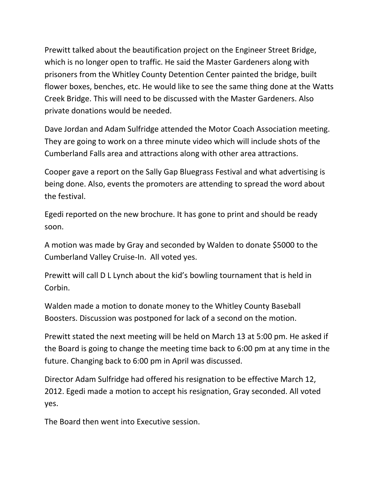Prewitt talked about the beautification project on the Engineer Street Bridge, which is no longer open to traffic. He said the Master Gardeners along with prisoners from the Whitley County Detention Center painted the bridge, built flower boxes, benches, etc. He would like to see the same thing done at the Watts Creek Bridge. This will need to be discussed with the Master Gardeners. Also private donations would be needed.

Dave Jordan and Adam Sulfridge attended the Motor Coach Association meeting. They are going to work on a three minute video which will include shots of the Cumberland Falls area and attractions along with other area attractions.

Cooper gave a report on the Sally Gap Bluegrass Festival and what advertising is being done. Also, events the promoters are attending to spread the word about the festival.

Egedi reported on the new brochure. It has gone to print and should be ready soon.

A motion was made by Gray and seconded by Walden to donate \$5000 to the Cumberland Valley Cruise-In. All voted yes.

Prewitt will call D L Lynch about the kid's bowling tournament that is held in Corbin.

Walden made a motion to donate money to the Whitley County Baseball Boosters. Discussion was postponed for lack of a second on the motion.

Prewitt stated the next meeting will be held on March 13 at 5:00 pm. He asked if the Board is going to change the meeting time back to 6:00 pm at any time in the future. Changing back to 6:00 pm in April was discussed.

Director Adam Sulfridge had offered his resignation to be effective March 12, 2012. Egedi made a motion to accept his resignation, Gray seconded. All voted yes.

The Board then went into Executive session.